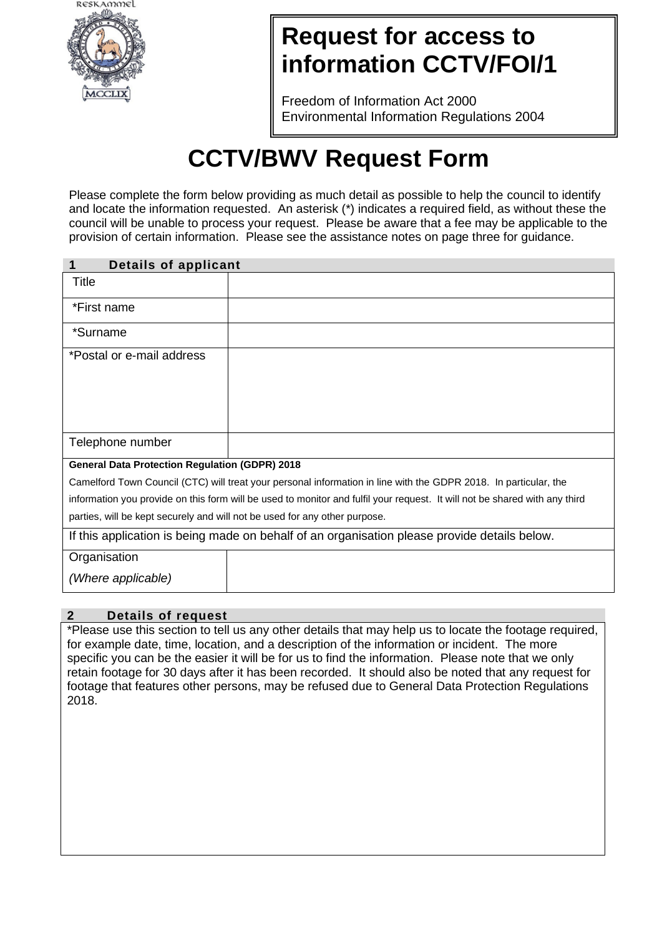

## **Request for access to information CCTV/FOI/1**

Freedom of Information Act 2000 Environmental Information Regulations 2004

# **CCTV/BWV Request Form**

Please complete the form below providing as much detail as possible to help the council to identify and locate the information requested. An asterisk (\*) indicates a required field, as without these the council will be unable to process your request. Please be aware that a fee may be applicable to the provision of certain information. Please see the assistance notes on page three for guidance.

| Details of applicant                                                                                                       |                                                                            |
|----------------------------------------------------------------------------------------------------------------------------|----------------------------------------------------------------------------|
| Title                                                                                                                      |                                                                            |
| *First name                                                                                                                |                                                                            |
| *Surname                                                                                                                   |                                                                            |
| *Postal or e-mail address                                                                                                  |                                                                            |
| Telephone number                                                                                                           |                                                                            |
| <b>General Data Protection Regulation (GDPR) 2018</b>                                                                      |                                                                            |
| Camelford Town Council (CTC) will treat your personal information in line with the GDPR 2018. In particular, the           |                                                                            |
| information you provide on this form will be used to monitor and fulfil your request. It will not be shared with any third |                                                                            |
|                                                                                                                            | parties, will be kept securely and will not be used for any other purpose. |
| If this application is being made on behalf of an organisation please provide details below.                               |                                                                            |
| Organisation                                                                                                               |                                                                            |
| (Where applicable)                                                                                                         |                                                                            |

#### **2 Details of request**

\*Please use this section to tell us any other details that may help us to locate the footage required, for example date, time, location, and a description of the information or incident. The more specific you can be the easier it will be for us to find the information. Please note that we only retain footage for 30 days after it has been recorded. It should also be noted that any request for footage that features other persons, may be refused due to General Data Protection Regulations 2018.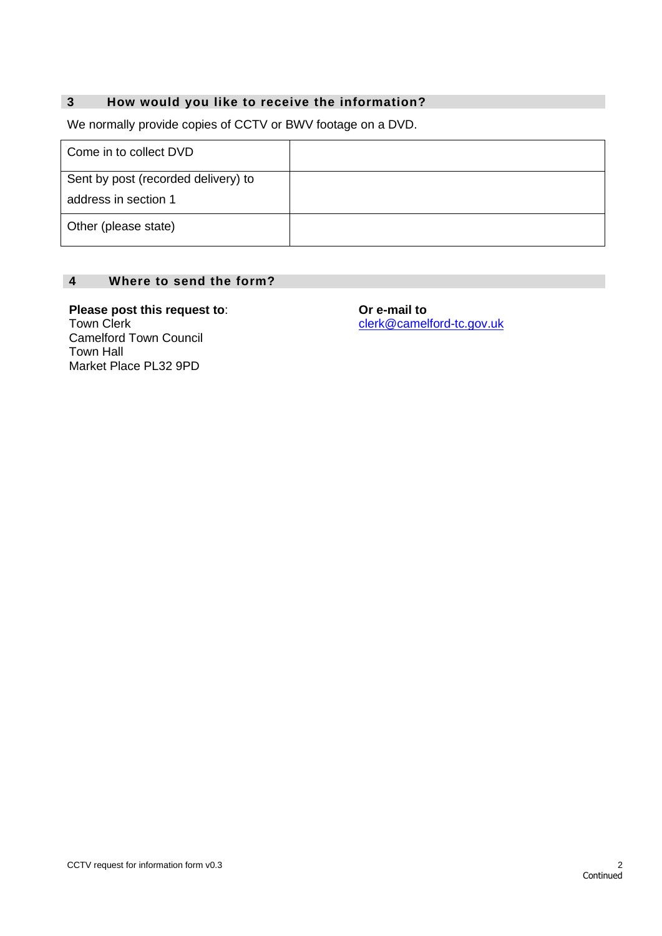### **3 How would you like to receive the information?**

We normally provide copies of CCTV or BWV footage on a DVD.

| Come in to collect DVD              |  |
|-------------------------------------|--|
| Sent by post (recorded delivery) to |  |
| address in section 1                |  |
| Other (please state)                |  |

#### **4 Where to send the form?**

**Please post this request to**: Town Clerk Camelford Town Council Town Hall Market Place PL32 9PD

**Or e-mail to**  [clerk@camelford-tc.gov.uk](mailto:clerk@camelford-tc.gov.uk)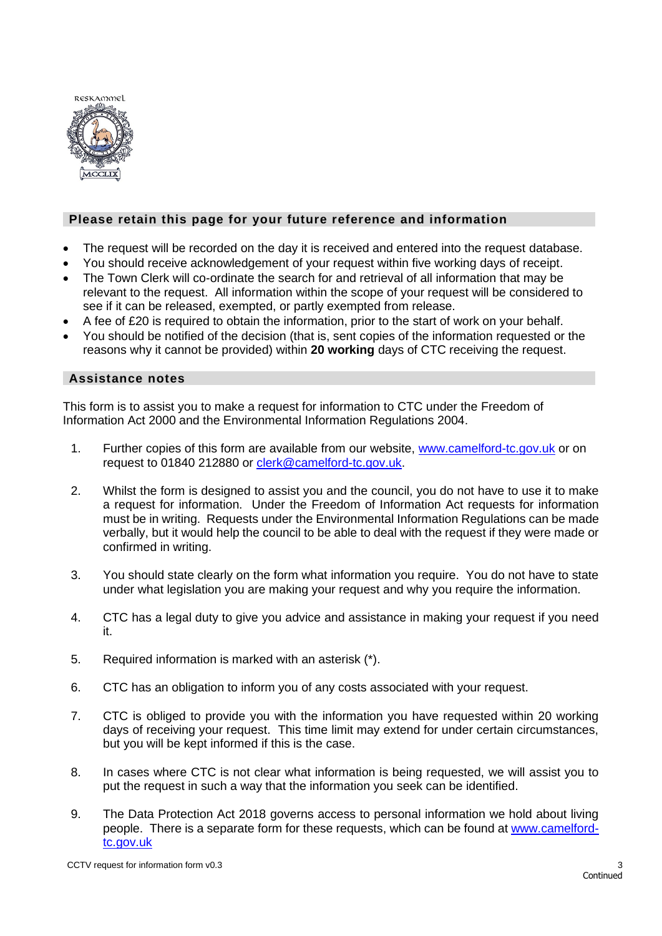

#### **Please retain this page for your future reference and information**

- The request will be recorded on the day it is received and entered into the request database.
- You should receive acknowledgement of your request within five working days of receipt.
- The Town Clerk will co-ordinate the search for and retrieval of all information that may be relevant to the request. All information within the scope of your request will be considered to see if it can be released, exempted, or partly exempted from release.
- A fee of £20 is required to obtain the information, prior to the start of work on your behalf.
- You should be notified of the decision (that is, sent copies of the information requested or the reasons why it cannot be provided) within **20 working** days of CTC receiving the request.

#### **Assistance notes**

This form is to assist you to make a request for information to CTC under the Freedom of Information Act 2000 and the Environmental Information Regulations 2004.

- 1. Further copies of this form are available from our website, www.camelford-tc.gov.uk or on request to 01840 212880 or [clerk@camelford-tc.gov.uk.](mailto:clerk@camelford-tc.gov.uk)
- 2. Whilst the form is designed to assist you and the council, you do not have to use it to make a request for information. Under the Freedom of Information Act requests for information must be in writing. Requests under the Environmental Information Regulations can be made verbally, but it would help the council to be able to deal with the request if they were made or confirmed in writing.
- 3. You should state clearly on the form what information you require. You do not have to state under what legislation you are making your request and why you require the information.
- 4. CTC has a legal duty to give you advice and assistance in making your request if you need it.
- 5. Required information is marked with an asterisk (\*).
- 6. CTC has an obligation to inform you of any costs associated with your request.
- 7. CTC is obliged to provide you with the information you have requested within 20 working days of receiving your request. This time limit may extend for under certain circumstances, but you will be kept informed if this is the case.
- 8. In cases where CTC is not clear what information is being requested, we will assist you to put the request in such a way that the information you seek can be identified.
- 9. The Data Protection Act 2018 governs access to personal information we hold about living people. There is a separate form for these requests, which can be found at www.camelfordtc.gov.uk